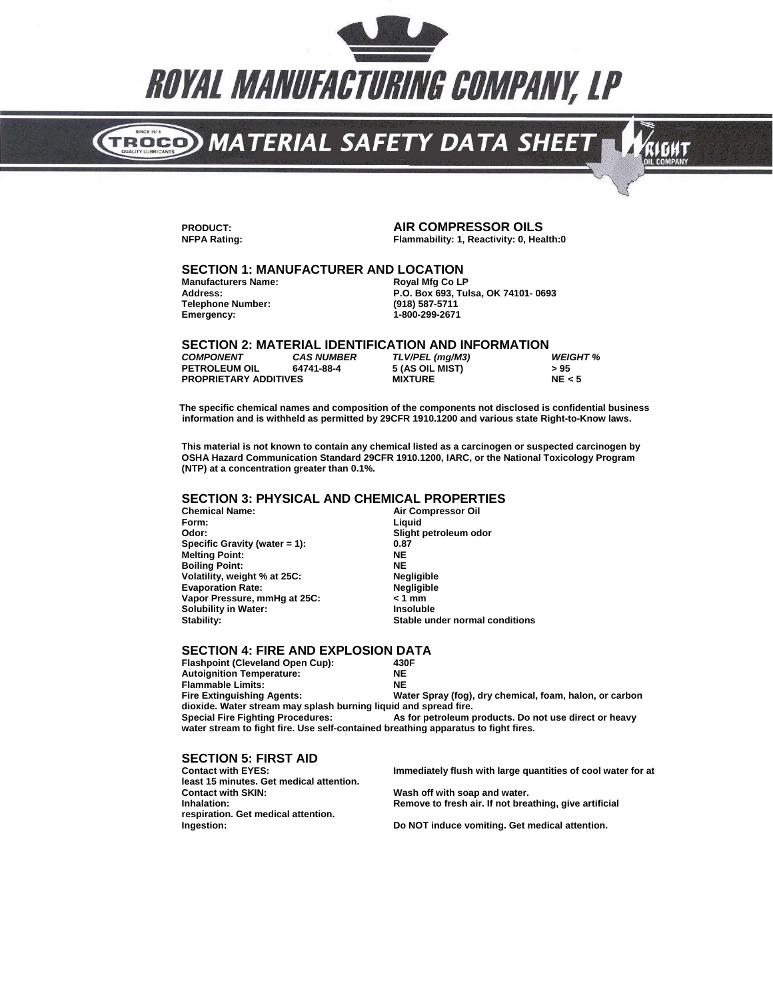

# TROGO) MATERIAL SAFETY DATA SHEET

**PRODUCT: AIR COMPRESSOR OILS**

**Flammability: 1, Reactivity: 0, Health:0** 

кібит

## **SECTION 1: MANUFACTURER AND LOCATION**

**Manufacturers Name: Telephone Number: Emergency: 1-800-299-2671**

**Address: P.O. Box 693, T lsa, OK 74101- 0693 u**

#### **SECTION 2: MATERIAL IDENTIFICATION AND INFORMATION**

| <b>COMPONENT</b>             | <b>CAS NUMBER</b> | TLV/PEL (mg/M3) | <b>WEIGHT %</b> |
|------------------------------|-------------------|-----------------|-----------------|
| <b>PETROLEUM OIL</b>         | 64741-88-4        | 5 (AS OIL MIST) | > 95            |
| <b>PROPRIETARY ADDITIVES</b> |                   | <b>MIXTURE</b>  | NE < 5          |

**The specific chemical names and composition of the components not disclosed is confidential business information and is withheld as permitted by 29CFR 1910.1200 and various state Right-to-Know laws.** 

**This material is not known to contain any chemical listed as a carcinogen or suspected carcinogen by OSHA Hazard Communication Standard 29CFR 1910.1200, IARC, or the National Toxicology Program (NTP) at a concentration greater than 0.1%.**

#### **SECTION 3: PHYSICAL AND CHEMICAL PROPERTIES**

**Form: Liquid Specific Gravit (water = 1): y 0.87 Melting Point: NE Boiling Point: NE Volatility, weight % at 25C:** Evaporation Rate: **Negligible**<br>Vapor Pressure, mmHg at 25C: **New State** 21 mm **Vapor Pressure, mmHg at 25C: < 1 mm Solubility in Water: Insoluble**

**Air Compressor Oil Odor: Slight petroleum odor Stable under normal conditions** 

#### **SECTION 4: FIRE AND EXPLOSION DATA**<br>Flashpoint (Cleveland Open Cup): 430F

**Flashpoint (Cleveland Open Cup): 430<br>Autoignition Temperature: 611 ME Autoignition Temperature:** enterprise and the ME<br> **Elammable Limits:** NE **Flammable Limits:<br>Fire Extinguishing Agents:** Water Spray (fog), dry chemical, foam, halon, or carbon **dioxide. Water stream may splash burning liquid and spread fire. Special Fire Fighting Procedures: As for petroleum products. Do not use direct or heavy water stream to fight fire. Use self-contained breathing apparatus to fight fires.**

## **SECTION 5: FIRST AID**<br>Contact with EYES:

**least 15 minutes. Get medical attention. Contact with SKIN: the SKIN: the Wash off with soap and water.**<br> **thalation: h** Remove to fresh air. If not brear and water. **respiration. Get medical attention.** 

**Immediately flush with large quantities of cool water for at** 

**Inhalation: Remove to fresh air. If not breathing, give artificial** 

**Ingestion: Do NOT induce vomiting. Get medical attention.**